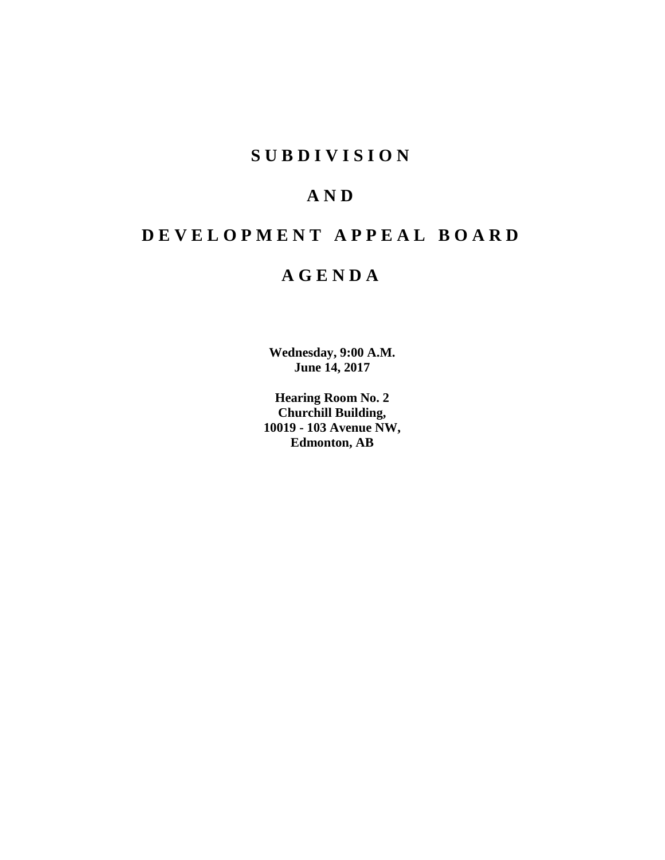# **SUBDIVISION**

# **AND**

# **DEVELOPMENT APPEAL BOARD**

# **AGENDA**

**Wednesday, 9:00 A.M. June 14, 2017**

**Hearing Room No. 2 Churchill Building, 10019 - 103 Avenue NW, Edmonton, AB**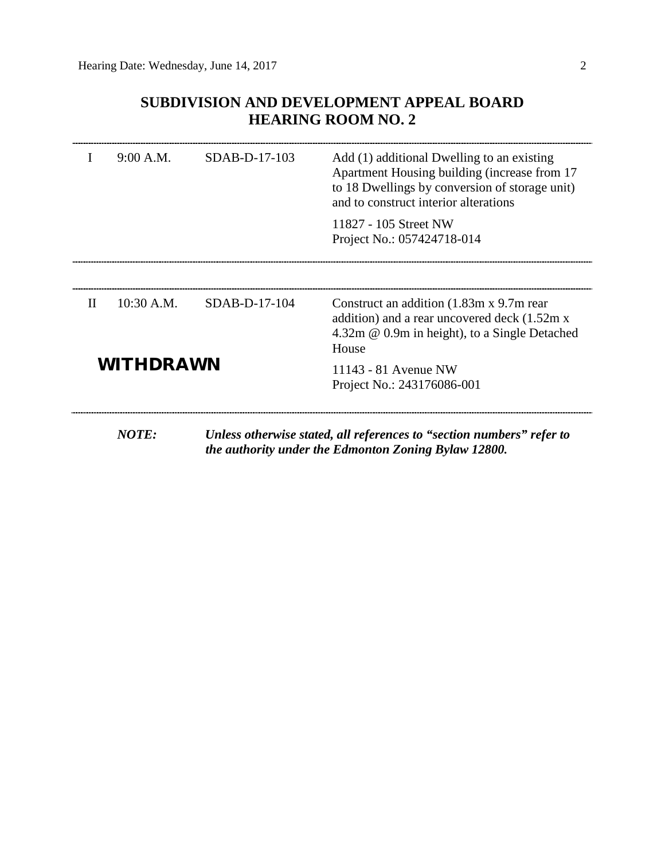# **SUBDIVISION AND DEVELOPMENT APPEAL BOARD HEARING ROOM NO. 2**

| I                | 9:00 A.M.    | SDAB-D-17-103 | Add (1) additional Dwelling to an existing<br>Apartment Housing building (increase from 17<br>to 18 Dwellings by conversion of storage unit)<br>and to construct interior alterations<br>11827 - 105 Street NW |  |  |
|------------------|--------------|---------------|----------------------------------------------------------------------------------------------------------------------------------------------------------------------------------------------------------------|--|--|
|                  |              |               | Project No.: 057424718-014                                                                                                                                                                                     |  |  |
| $\mathbf{H}$     | $10:30$ A.M. | SDAB-D-17-104 | Construct an addition (1.83m x 9.7m rear)<br>addition) and a rear uncovered deck (1.52m x<br>$4.32m \& 0.9m$ in height), to a Single Detached<br>House                                                         |  |  |
| <b>WITHDRAWN</b> |              |               | 11143 - 81 Avenue NW<br>Project No.: 243176086-001                                                                                                                                                             |  |  |
|                  | <b>NOTE:</b> |               | Unless otherwise stated, all references to "section numbers" refer to<br>the authority under the Edmonton Zoning Bylaw 12800.                                                                                  |  |  |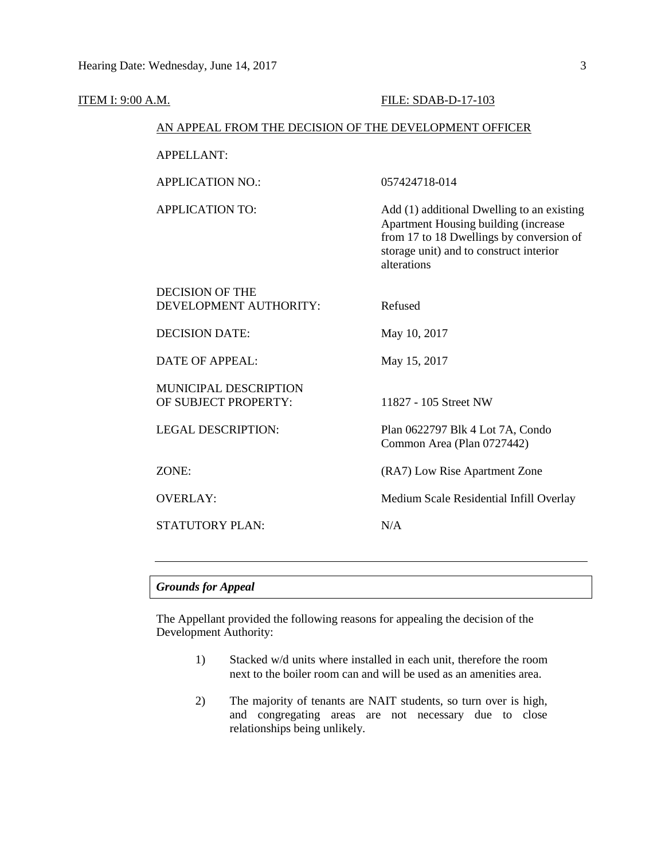| <b>ITEM I: 9:00 A.M.</b> |                                                        | FILE: SDAB-D-17-103                                                                                                                                                                      |  |  |  |
|--------------------------|--------------------------------------------------------|------------------------------------------------------------------------------------------------------------------------------------------------------------------------------------------|--|--|--|
|                          | AN APPEAL FROM THE DECISION OF THE DEVELOPMENT OFFICER |                                                                                                                                                                                          |  |  |  |
| <b>APPELLANT:</b>        |                                                        |                                                                                                                                                                                          |  |  |  |
|                          | <b>APPLICATION NO.:</b>                                | 057424718-014                                                                                                                                                                            |  |  |  |
|                          | <b>APPLICATION TO:</b>                                 | Add (1) additional Dwelling to an existing<br>Apartment Housing building (increase<br>from 17 to 18 Dwellings by conversion of<br>storage unit) and to construct interior<br>alterations |  |  |  |
|                          | <b>DECISION OF THE</b><br>DEVELOPMENT AUTHORITY:       | Refused                                                                                                                                                                                  |  |  |  |
|                          | <b>DECISION DATE:</b>                                  | May 10, 2017                                                                                                                                                                             |  |  |  |
|                          | <b>DATE OF APPEAL:</b>                                 | May 15, 2017                                                                                                                                                                             |  |  |  |
|                          | MUNICIPAL DESCRIPTION<br>OF SUBJECT PROPERTY:          | 11827 - 105 Street NW                                                                                                                                                                    |  |  |  |
|                          | <b>LEGAL DESCRIPTION:</b>                              | Plan 0622797 Blk 4 Lot 7A, Condo<br>Common Area (Plan 0727442)                                                                                                                           |  |  |  |
|                          | ZONE:                                                  | (RA7) Low Rise Apartment Zone                                                                                                                                                            |  |  |  |
|                          | <b>OVERLAY:</b>                                        | Medium Scale Residential Infill Overlay                                                                                                                                                  |  |  |  |
|                          | <b>STATUTORY PLAN:</b>                                 | N/A                                                                                                                                                                                      |  |  |  |
|                          |                                                        |                                                                                                                                                                                          |  |  |  |

# *Grounds for Appeal*

The Appellant provided the following reasons for appealing the decision of the Development Authority:

- 1) Stacked w/d units where installed in each unit, therefore the room next to the boiler room can and will be used as an amenities area.
- 2) The majority of tenants are NAIT students, so turn over is high, and congregating areas are not necessary due to close relationships being unlikely.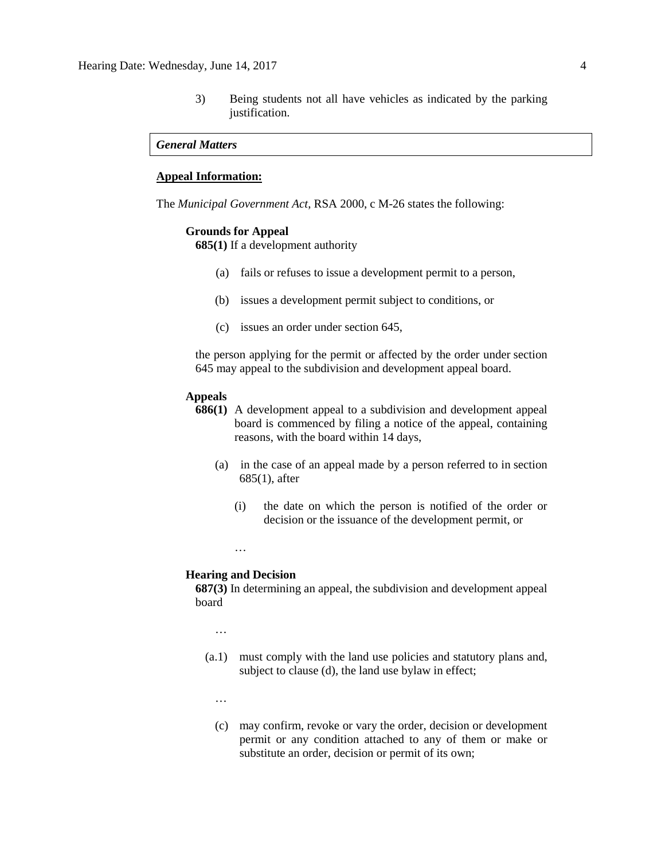3) Being students not all have vehicles as indicated by the parking justification.

### *General Matters*

#### **Appeal Information:**

The *Municipal Government Act*, RSA 2000, c M-26 states the following:

#### **Grounds for Appeal**

**685(1)** If a development authority

- (a) fails or refuses to issue a development permit to a person,
- (b) issues a development permit subject to conditions, or
- (c) issues an order under section 645,

the person applying for the permit or affected by the order under section 645 may appeal to the subdivision and development appeal board.

### **Appeals**

- **686(1)** A development appeal to a subdivision and development appeal board is commenced by filing a notice of the appeal, containing reasons, with the board within 14 days,
	- (a) in the case of an appeal made by a person referred to in section 685(1), after
		- (i) the date on which the person is notified of the order or decision or the issuance of the development permit, or
		- …

#### **Hearing and Decision**

**687(3)** In determining an appeal, the subdivision and development appeal board

…

- (a.1) must comply with the land use policies and statutory plans and, subject to clause (d), the land use bylaw in effect;
	- …
	- (c) may confirm, revoke or vary the order, decision or development permit or any condition attached to any of them or make or substitute an order, decision or permit of its own;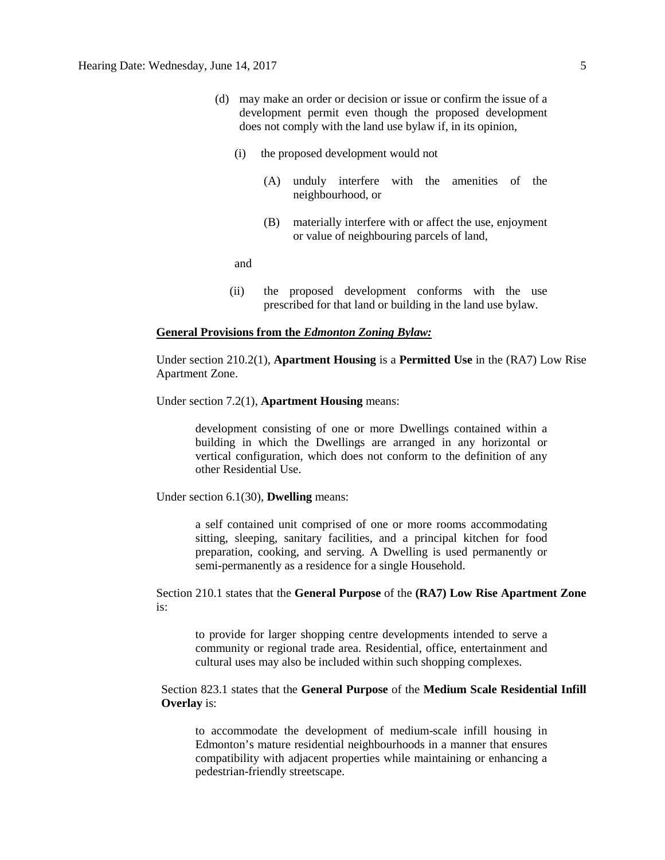- (d) may make an order or decision or issue or confirm the issue of a development permit even though the proposed development does not comply with the land use bylaw if, in its opinion,
	- (i) the proposed development would not
		- (A) unduly interfere with the amenities of the neighbourhood, or
		- (B) materially interfere with or affect the use, enjoyment or value of neighbouring parcels of land,

and

(ii) the proposed development conforms with the use prescribed for that land or building in the land use bylaw.

#### **General Provisions from the** *Edmonton Zoning Bylaw:*

Under section 210.2(1), **Apartment Housing** is a **Permitted Use** in the (RA7) Low Rise Apartment Zone.

Under section 7.2(1), **Apartment Housing** means:

development consisting of one or more Dwellings contained within a building in which the Dwellings are arranged in any horizontal or vertical configuration, which does not conform to the definition of any other Residential Use.

Under section 6.1(30), **Dwelling** means:

a self contained unit comprised of one or more rooms accommodating sitting, sleeping, sanitary facilities, and a principal kitchen for food preparation, cooking, and serving. A Dwelling is used permanently or semi-permanently as a residence for a single Household.

Section 210.1 states that the **General Purpose** of the **(RA7) Low Rise Apartment Zone** is:

to provide for larger shopping centre developments intended to serve a community or regional trade area. Residential, office, entertainment and cultural uses may also be included within such shopping complexes.

Section 823.1 states that the **General Purpose** of the **Medium Scale Residential Infill Overlay** is:

to accommodate the development of medium-scale infill housing in Edmonton's mature residential neighbourhoods in a manner that ensures compatibility with adjacent properties while maintaining or enhancing a pedestrian-friendly streetscape.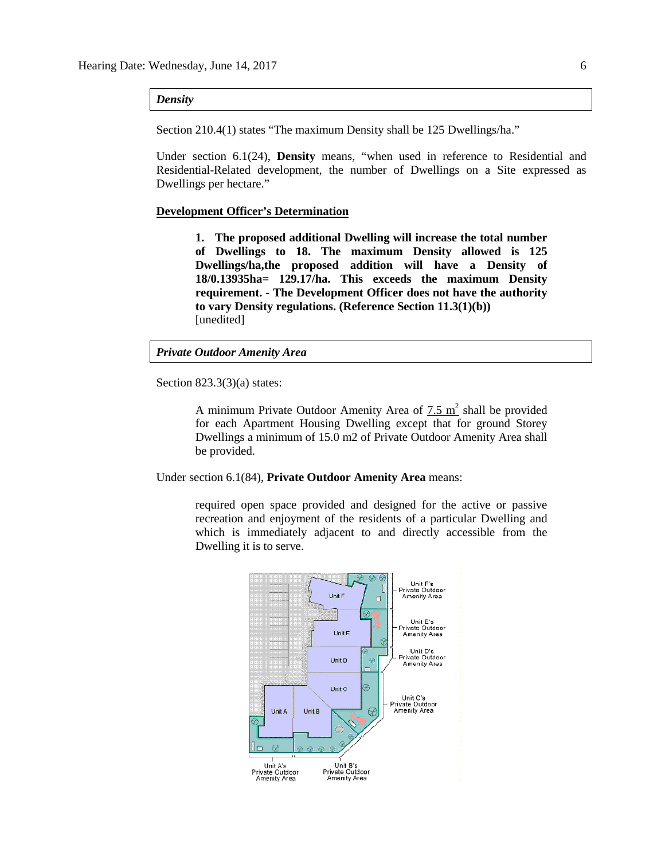*Density*

Section 210.4(1) states "The maximum Density shall be 125 Dwellings/ha."

Under section 6.1(24), **Density** means, "when used in reference to Residential and Residential-Related development, the number of Dwellings on a Site expressed as Dwellings per hectare."

#### **Development Officer's Determination**

**1. The proposed additional Dwelling will increase the total number of Dwellings to 18. The maximum Density allowed is 125 Dwellings/ha,the proposed addition will have a Density of 18/0.13935ha= 129.17/ha. This exceeds the maximum Density requirement. - The Development Officer does not have the authority to vary Density regulations. (Reference Section 11.3(1)(b))** [unedited]

# *Private Outdoor Amenity Area*

Section 823.3(3)(a) states:

A minimum Private Outdoor Amenity Area of  $7.5 \text{ m}^2$  shall be provided for each Apartment Housing Dwelling except that for ground Storey Dwellings a minimum of 15.0 m2 of Private Outdoor Amenity Area shall be provided.

Under section 6.1(84), **Private Outdoor Amenity Area** means:

required open space provided and designed for the active or passive recreation and enjoyment of the residents of a particular Dwelling and which is immediately adjacent to and directly accessible from the Dwelling it is to serve.

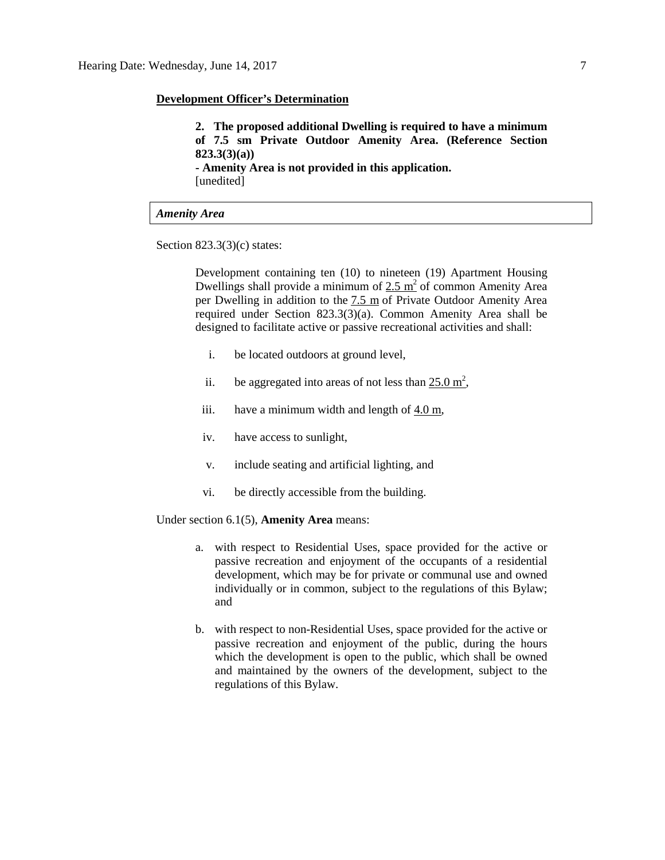#### **Development Officer's Determination**

**2. The proposed additional Dwelling is required to have a minimum of 7.5 sm Private Outdoor Amenity Area. (Reference Section 823.3(3)(a)) - Amenity Area is not provided in this application.** [unedited]

## *Amenity Area*

Section 823.3(3)(c) states:

Development containing ten (10) to nineteen (19) Apartment Housing Dwellings shall provide a minimum of  $2.5 \text{ m}^2$  of common Amenity Area per Dwelling in addition to the [7.5 m](javascript:void(0);) of Private Outdoor Amenity Area required under Section 823.3(3)(a). Common Amenity Area shall be designed to facilitate active or passive recreational activities and shall:

- i. be located outdoors at ground level,
- ii. be aggregated into areas of not less than  $25.0 \text{ m}^2$ ,
- iii. have a minimum width and length of [4.0 m,](javascript:void(0);)
- iv. have access to sunlight,
- v. include seating and artificial lighting, and
- vi. be directly accessible from the building.

Under section 6.1(5), **Amenity Area** means:

- a. with respect to Residential Uses, space provided for the active or passive recreation and enjoyment of the occupants of a residential development, which may be for private or communal use and owned individually or in common, subject to the regulations of this Bylaw; and
- b. with respect to non-Residential Uses, space provided for the active or passive recreation and enjoyment of the public, during the hours which the development is open to the public, which shall be owned and maintained by the owners of the development, subject to the regulations of this Bylaw.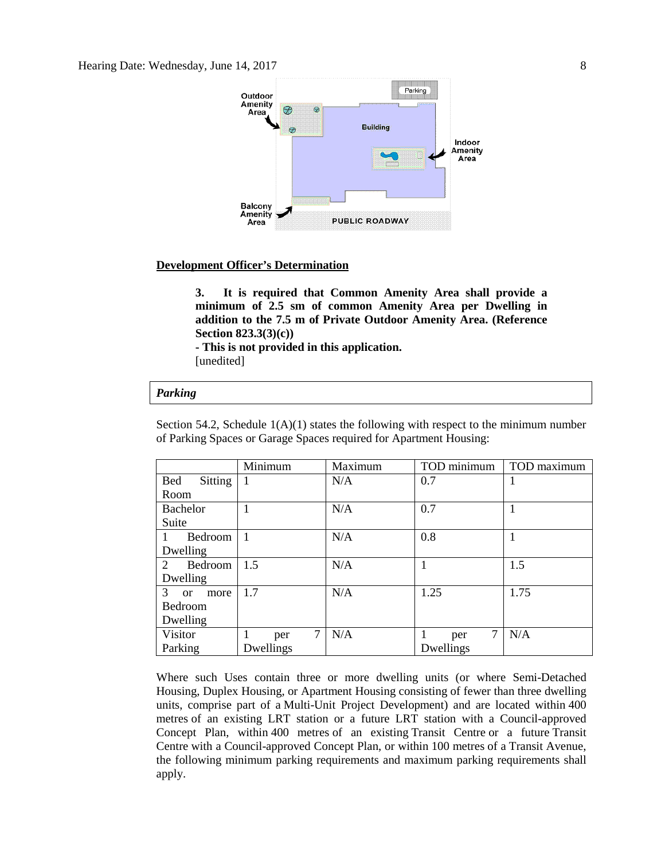

#### **Development Officer's Determination**

**3. It is required that Common Amenity Area shall provide a minimum of 2.5 sm of common Amenity Area per Dwelling in addition to the 7.5 m of Private Outdoor Amenity Area. (Reference Section 823.3(3)(c))**

**- This is not provided in this application.**

[unedited]

#### *Parking*

Section 54.2, Schedule  $1(A)(1)$  states the following with respect to the minimum number of Parking Spaces or Garage Spaces required for Apartment Housing:

|                                     | Minimum        | Maximum | TOD minimum | TOD maximum |
|-------------------------------------|----------------|---------|-------------|-------------|
| <b>Bed</b><br><b>Sitting</b>        | 1              | N/A     | 0.7         |             |
| Room                                |                |         |             |             |
| <b>Bachelor</b>                     |                | N/A     | 0.7         |             |
| Suite                               |                |         |             |             |
| <b>Bedroom</b>                      | $\overline{1}$ | N/A     | 0.8         |             |
| Dwelling                            |                |         |             |             |
| $\overline{2}$<br>Bedroom           | 1.5            | N/A     |             | 1.5         |
| Dwelling                            |                |         |             |             |
| 3 <sup>1</sup><br>more<br><b>or</b> | 1.7            | N/A     | 1.25        | 1.75        |
| Bedroom                             |                |         |             |             |
| Dwelling                            |                |         |             |             |
| Visitor                             | 7<br>per       | N/A     | 7<br>per    | N/A         |
| Parking                             | Dwellings      |         | Dwellings   |             |

Where such Uses contain three or more dwelling units (or where Semi-Detached Housing, Duplex Housing, or Apartment Housing consisting of fewer than three dwelling units, comprise part of a Multi-Unit Project Development) and are located within 400 metres of an existing LRT station or a future LRT station with a Council-approved Concept Plan, within 400 metres of an existing Transit Centre or a future Transit Centre with a Council-approved Concept Plan, or within 100 metres of a Transit Avenue, the following minimum parking requirements and maximum parking requirements shall apply.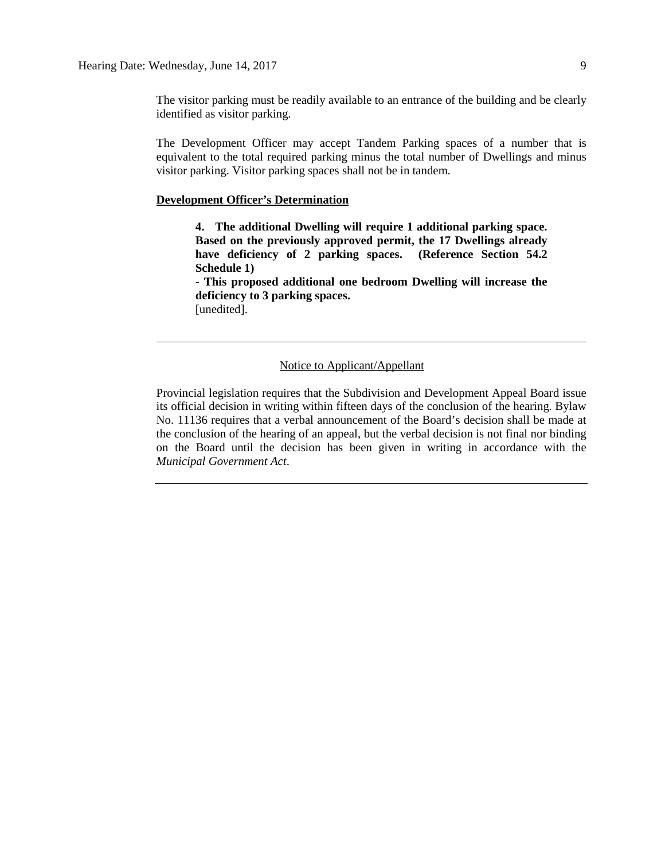The visitor parking must be readily available to an entrance of the building and be clearly identified as visitor parking.

The Development Officer may accept Tandem Parking spaces of a number that is equivalent to the total required parking minus the total number of Dwellings and minus visitor parking. Visitor parking spaces shall not be in tandem.

## **Development Officer's Determination**

**4. The additional Dwelling will require 1 additional parking space. Based on the previously approved permit, the 17 Dwellings already have deficiency of 2 parking spaces. (Reference Section 54.2 Schedule 1)**

**- This proposed additional one bedroom Dwelling will increase the deficiency to 3 parking spaces.** [unedited].

### Notice to Applicant/Appellant

Provincial legislation requires that the Subdivision and Development Appeal Board issue its official decision in writing within fifteen days of the conclusion of the hearing. Bylaw No. 11136 requires that a verbal announcement of the Board's decision shall be made at the conclusion of the hearing of an appeal, but the verbal decision is not final nor binding on the Board until the decision has been given in writing in accordance with the *Municipal Government Act*.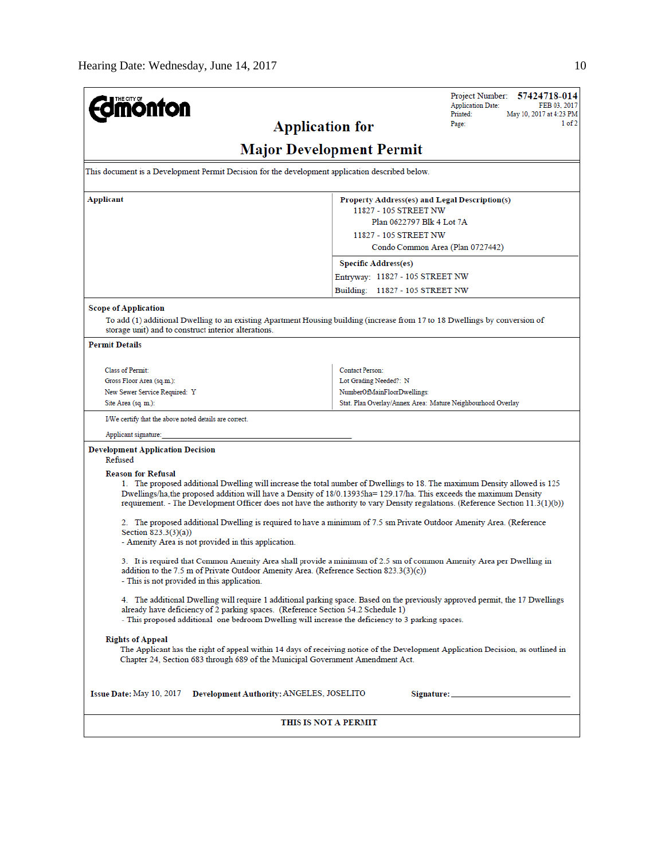| <b>Imönton</b>                                                                                                                                                                                                                                                                                                                                                                      |                                                                                                                                                                  | Project Number: 57424718-014<br><b>Application Date:</b><br>FEB 03, 2017<br>Printed:<br>May 10, 2017 at 4:23 PM |  |  |  |  |
|-------------------------------------------------------------------------------------------------------------------------------------------------------------------------------------------------------------------------------------------------------------------------------------------------------------------------------------------------------------------------------------|------------------------------------------------------------------------------------------------------------------------------------------------------------------|-----------------------------------------------------------------------------------------------------------------|--|--|--|--|
| <b>Application for</b>                                                                                                                                                                                                                                                                                                                                                              |                                                                                                                                                                  | 1 of 2<br>Page:                                                                                                 |  |  |  |  |
| <b>Major Development Permit</b>                                                                                                                                                                                                                                                                                                                                                     |                                                                                                                                                                  |                                                                                                                 |  |  |  |  |
| This document is a Development Permit Decision for the development application described below.                                                                                                                                                                                                                                                                                     |                                                                                                                                                                  |                                                                                                                 |  |  |  |  |
| Applicant                                                                                                                                                                                                                                                                                                                                                                           | Property Address(es) and Legal Description(s)<br>11827 - 105 STREET NW<br>Plan 0622797 Blk 4 Lot 7A<br>11827 - 105 STREET NW<br>Condo Common Area (Plan 0727442) |                                                                                                                 |  |  |  |  |
|                                                                                                                                                                                                                                                                                                                                                                                     | <b>Specific Address(es)</b><br>Entryway: 11827 - 105 STREET NW<br>Building: 11827 - 105 STREET NW                                                                |                                                                                                                 |  |  |  |  |
| <b>Scope of Application</b><br>To add (1) additional Dwelling to an existing Apartment Housing building (increase from 17 to 18 Dwellings by conversion of<br>storage unit) and to construct interior alterations.<br><b>Permit Details</b>                                                                                                                                         |                                                                                                                                                                  |                                                                                                                 |  |  |  |  |
| <b>Class of Permit:</b><br>Gross Floor Area (sq.m.):<br>New Sewer Service Required: Y<br>Site Area (sq. m.):                                                                                                                                                                                                                                                                        | <b>Contact Person:</b><br>Lot Grading Needed?: N<br>NumberOfMainFloorDwellings:<br>Stat. Plan Overlay/Annex Area: Mature Neighbourhood Overlay                   |                                                                                                                 |  |  |  |  |
| I/We certify that the above noted details are correct.<br>Applicant signature:                                                                                                                                                                                                                                                                                                      |                                                                                                                                                                  |                                                                                                                 |  |  |  |  |
| <b>Development Application Decision</b><br>Refused<br><b>Reason for Refusal</b>                                                                                                                                                                                                                                                                                                     |                                                                                                                                                                  |                                                                                                                 |  |  |  |  |
| 1. The proposed additional Dwelling will increase the total number of Dwellings to 18. The maximum Density allowed is 125<br>Dwellings/ha, the proposed addition will have a Density of 18/0.13935ha= 129.17/ha. This exceeds the maximum Density<br>requirement. - The Development Officer does not have the authority to vary Density regulations. (Reference Section 11.3(1)(b)) |                                                                                                                                                                  |                                                                                                                 |  |  |  |  |
| 2. The proposed additional Dwelling is required to have a minimum of 7.5 sm Private Outdoor Amenity Area. (Reference<br>Section 823.3(3)(a))<br>- Amenity Area is not provided in this application.                                                                                                                                                                                 |                                                                                                                                                                  |                                                                                                                 |  |  |  |  |
| 3. It is required that Common Amenity Area shall provide a minimum of 2.5 sm of common Amenity Area per Dwelling in<br>addition to the 7.5 m of Private Outdoor Amenity Area. (Reference Section 823.3(3)(c))<br>- This is not provided in this application.                                                                                                                        |                                                                                                                                                                  |                                                                                                                 |  |  |  |  |
| 4. The additional Dwelling will require 1 additional parking space. Based on the previously approved permit, the 17 Dwellings<br>already have deficiency of 2 parking spaces. (Reference Section 54.2 Schedule 1)<br>- This proposed additional one bedroom Dwelling will increase the deficiency to 3 parking spaces.                                                              |                                                                                                                                                                  |                                                                                                                 |  |  |  |  |
| <b>Rights of Appeal</b><br>The Applicant has the right of appeal within 14 days of receiving notice of the Development Application Decision, as outlined in<br>Chapter 24, Section 683 through 689 of the Municipal Government Amendment Act.                                                                                                                                       |                                                                                                                                                                  |                                                                                                                 |  |  |  |  |
| Issue Date: May 10, 2017<br>Development Authority: ANGELES, JOSELITO                                                                                                                                                                                                                                                                                                                |                                                                                                                                                                  |                                                                                                                 |  |  |  |  |
| THIS IS NOT A PERMIT                                                                                                                                                                                                                                                                                                                                                                |                                                                                                                                                                  |                                                                                                                 |  |  |  |  |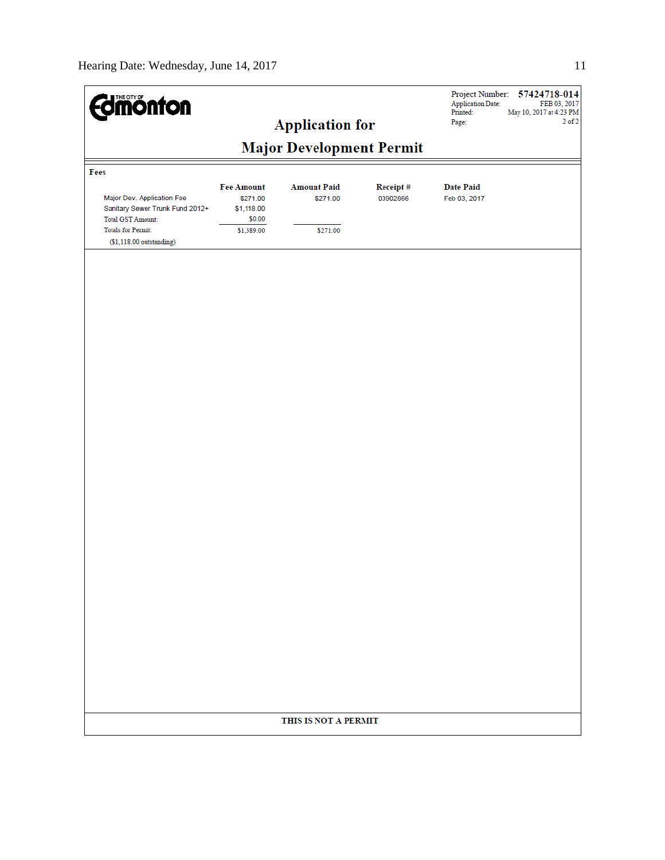| <b><i><u>alimonton</u></i></b>                                                                                                                      |                                                | <b>Application for</b> |          | Project Number:<br><b>Application Date:</b><br>Printed:<br>Page: | 57424718-014<br>FEB 03, 2017<br>May 10, 2017 at 4:23 PM<br>$2$ of $2$ |  |  |
|-----------------------------------------------------------------------------------------------------------------------------------------------------|------------------------------------------------|------------------------|----------|------------------------------------------------------------------|-----------------------------------------------------------------------|--|--|
| <b>Major Development Permit</b>                                                                                                                     |                                                |                        |          |                                                                  |                                                                       |  |  |
| Fees                                                                                                                                                | <b>Fee Amount</b>                              | <b>Amount Paid</b>     | Receipt# | <b>Date Paid</b>                                                 |                                                                       |  |  |
| Major Dev. Application Fee<br>Sanitary Sewer Trunk Fund 2012+<br><b>Total GST Amount:</b><br><b>Totals for Permit:</b><br>$($1,118.00$ outstanding) | \$271.00<br>\$1,118.00<br>\$0.00<br>\$1,389.00 | \$271.00<br>\$271.00   | 03902866 | Feb 03, 2017                                                     |                                                                       |  |  |
|                                                                                                                                                     |                                                |                        |          |                                                                  |                                                                       |  |  |
|                                                                                                                                                     |                                                |                        |          |                                                                  |                                                                       |  |  |
|                                                                                                                                                     |                                                |                        |          |                                                                  |                                                                       |  |  |
|                                                                                                                                                     |                                                |                        |          |                                                                  |                                                                       |  |  |
|                                                                                                                                                     |                                                |                        |          |                                                                  |                                                                       |  |  |
|                                                                                                                                                     |                                                |                        |          |                                                                  |                                                                       |  |  |
|                                                                                                                                                     |                                                |                        |          |                                                                  |                                                                       |  |  |
|                                                                                                                                                     |                                                |                        |          |                                                                  |                                                                       |  |  |
|                                                                                                                                                     |                                                |                        |          |                                                                  |                                                                       |  |  |
|                                                                                                                                                     |                                                |                        |          |                                                                  |                                                                       |  |  |
|                                                                                                                                                     | THIS IS NOT A PERMIT                           |                        |          |                                                                  |                                                                       |  |  |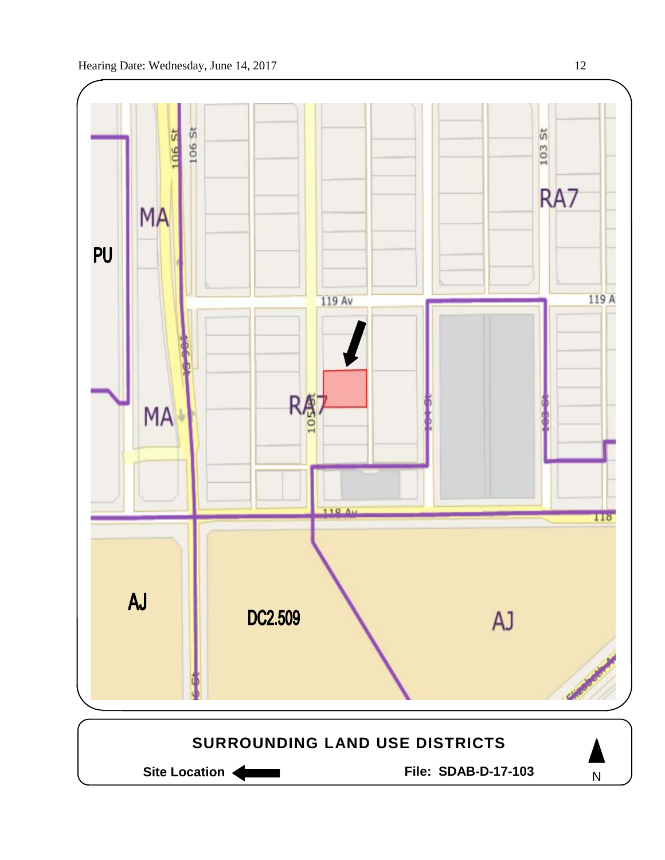

Site Location **General Execution State Location Site Location** 

N